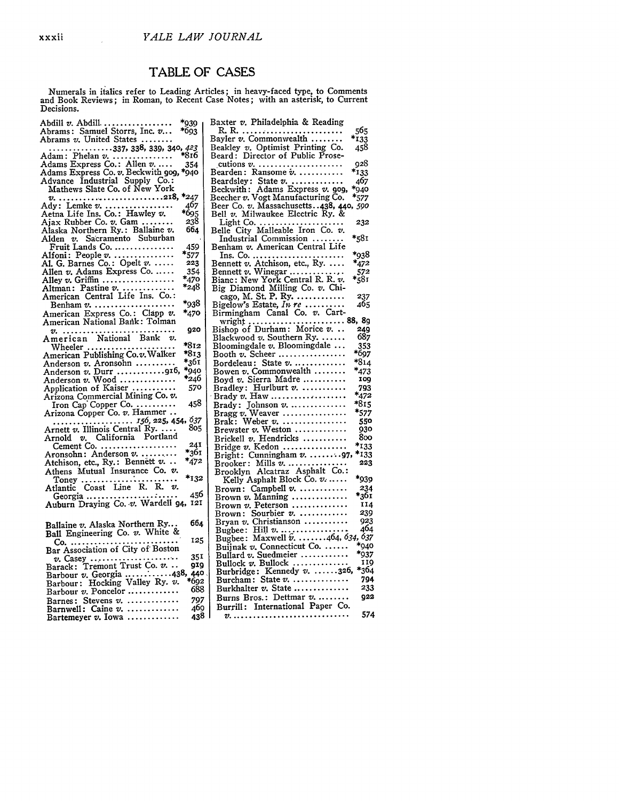## TABLE OF CASES

Numerals in italics refer to Leading Articles; in heavy-faced type, to Comments and Book Reviews; in Roman, to Recent Case Notes; with an asterisk, to Current<br>Decisions.

| *939<br>Abdill v. Abdill                                           | Baxter v. Philadelphia & Reading                                            |
|--------------------------------------------------------------------|-----------------------------------------------------------------------------|
| Abrams: Samuel Storrs, Inc. v<br>*693                              | 565<br>R. R. <i></i>                                                        |
|                                                                    | $*_{133}$<br>Bayler $v$ . Commonwealth $\ldots \ldots$                      |
| Abrams v. United States                                            |                                                                             |
| . 337, 338, 339, 340, <i>423</i>                                   | Beakley v. Optimist Printing Co.<br>458                                     |
| *816<br>Adam: Phelan $v$                                           | Beard: Director of Public Prose-                                            |
| Adams Express Co.: Allen v<br>354                                  | 928<br>cutions $v_{i_1}, \ldots, v_{i_n}, \ldots, v_{i_n}, \ldots, v_{i_n}$ |
| Adams Express Co. v. Beckwith 909, *940                            | $*_{133}$<br>Bearden: Ransome $v$                                           |
| Advance Industrial Supply Co.:                                     | 46;                                                                         |
| Mathews Slate Co. of New York                                      | Beardsley: State v.<br>Beckwith: Adams Express v. gog,<br>*940              |
|                                                                    | *572                                                                        |
|                                                                    | Beecher v. Vogt Manufacturing Co.                                           |
| Ady: Lemke v.<br>467                                               | Beer Co. v. Massachusetts438, 440, 590                                      |
| *695<br>Aetna Life Ins. Co.: Hawley v.                             | Bell $v$ . Milwaukee Electric Ry. &                                         |
| Ajax Rubber Co. v. Gam<br>238                                      | 23:<br>Light Co. $\dots \dots \dots \dots$                                  |
| Alaska Northern Ry.: Ballaine v.<br>664                            | Belle City Malleable Iron Co. v.                                            |
| Alden v. Sacramento Suburban                                       | *58.<br>Industrial Commission                                               |
| 459<br>Fruit Lands Co.                                             | Benham v. American Central Life                                             |
| *577                                                               | $*_{93}$                                                                    |
| Alfoni: People $v$                                                 | <u>lns. Co. </u>                                                            |
| Al. G. Barnes Co.: Opelt v.<br>223                                 | Bennett v. Atchison, etc., Ry.<br>*47:                                      |
| 354<br>Allen v. Adams Express Co.                                  | $*_{58}^{57}$<br>Bennett v. Winegar $\dots\dots\dots$                       |
| $*_{479}$<br>Alley $v$ . Griffin                                   | Bianc: New York Central R. R. v.                                            |
| *248<br>Altman: Pastine v.                                         | Big Diamond Milling Co. v. Chi-                                             |
| American Central Life Ins. Co.:                                    | 23<br>cago, M. St. P. Ry. $\dots \dots \dots$                               |
| *938<br>Benham $v_1, \ldots, \ldots, \ldots, \ldots, \ldots$       | 46,<br>Bigelow's Estate, In $re$                                            |
|                                                                    |                                                                             |
| American Express Co.: Clapp v.<br>*470                             | Birmingham Canal Co. v. Cart-                                               |
| American National Bank: Tolman                                     | wright  88, 8<br>Bishop of Durham: Morice v 24                              |
| 920<br>v. <i></i> .                                                |                                                                             |
| American National Bank v.                                          | 68<br>Blackwood $v$ . Southern Ry. $\dots$ .                                |
| *812<br>Wheeler $\ldots \ldots \ldots \ldots \ldots \ldots \ldots$ | 35<br>Bloomingdale $v$ . Bloomingdale $\ldots$                              |
| American Publishing Co.v. Walker<br>*813                           | *69<br>Booth $v$ . Scheer                                                   |
| *361                                                               | *81<br>Bordeleau: State $v$                                                 |
| Anderson v. Aronsohn<br>*940                                       | *47                                                                         |
| Anderson $v.$ Durr $\ldots \ldots \ldots \ldots$                   | Bowen v. Commonwealth                                                       |
| $*_{246}$<br>Anderson $v$ . Wood                                   | IΟ<br>Boyd v. Sierra Madre                                                  |
| Application of Kaiser<br>570                                       | 79<br>Bradley: Hurlburt v.                                                  |
| Arizona Commercial Mining Co. v.                                   | *47<br>$\cdot$ Brady $v$ . Haw $\ldots\ldots\ldots\ldots\ldots\ldots$       |
| 458<br>Iron Cap Copper Co                                          | *81<br>Brady: Johnson v.                                                    |
| Arizona Copper Co. v. Hammer                                       | *57<br>Bragg v. Weaver $\dots\dots\dots\dots\dots$                          |
|                                                                    | 55                                                                          |
|                                                                    | Brak: Weber $v$ .                                                           |
| 156, 225, 454, 637<br>Arnett v. Illinois Central Ry.  805          | Brewster v. Weston<br>93                                                    |
| Arnold v. California Portland                                      | 8с<br>Brickell v. Hendricks                                                 |
| 241<br>Cement Co. $\dots\dots\dots\dots\dots\dots\dots$            | 13*<br>Bridge v. Kedon                                                      |
| *361<br>Aronsohn: Anderson $v$                                     | $*_{13}$<br>Bright: Cunningham v. 97,                                       |
| *472<br>Atchison, etc., Ry.: Bennett v                             | 22<br>Brooker: Mills v.                                                     |
| Athens Mutual Insurance Co. $v$ .                                  | Brooklyn Alcatraz Asphalt Co.:                                              |
| *132                                                               | ج9*<br>Kelly Asphalt Block Co. $v_1, \ldots$ .                              |
|                                                                    |                                                                             |
| 450                                                                | 23<br>Brown: Campbell $v$                                                   |
|                                                                    | *36<br>Brown $v$ . Manning $\ldots \ldots \ldots \ldots$                    |
| Auburn Draying Co. v. Wardell 94, 121                              | $\mathbf{I}$<br>Brown $v$ . Peterson                                        |
|                                                                    | 2,<br>Brown: Sourbier v.                                                    |
| 664<br>Ballaine v. Alaska Northern Ry                              | 92<br>Bryan $v$ . Christianson $\ldots \ldots \ldots$                       |
|                                                                    | 4<br>Bugbee: Hill $v_{1}, \ldots, \ldots, \ldots$                           |
| Ball Engineering Co. v. White &                                    | Bugbee: Maxwell $\tilde{v}$ . 464, 634, 6                                   |
| 125                                                                | .<br>*o<br>Buijnak v. Connecticut Co.                                       |
|                                                                    | *9.                                                                         |
| 351                                                                | Bullard $v$ . Suedmeier $\ldots \ldots \ldots$                              |
| 919                                                                | Bullock $v$ . Bullock<br>1.                                                 |
| Barbour v. Georgia 438,<br>440                                     | *31<br>Burbridge: Kennedy v. 326,                                           |
| *692<br>Barbour: Hocking Valley Ry. v.                             | Burcham: State $v$<br>7                                                     |
| 688                                                                | 2<br>Burkhalter $v$ . State $\ldots \ldots \ldots$                          |
| Barbour v. Poncelor                                                | Burns Bros.: Dettmar $v$<br>9                                               |
| Barnes: Stevens v.<br>797                                          |                                                                             |
| 469<br>Barnwell: Caine $v$                                         | Burrill: International Paper Co.                                            |
| 438<br>Bartemeyer $v$ . Iowa                                       | 5                                                                           |
|                                                                    |                                                                             |

| Bayler $v$ . Commonwealth $\ldots \ldots$                            | 133             |
|----------------------------------------------------------------------|-----------------|
| Beakley v. Optimist Printing Co.<br>Beard: Director of Public Prose- | 458             |
|                                                                      |                 |
|                                                                      | 928             |
| cutions v.<br>Bearden: Ransome v.                                    | $*_{133}$       |
| Beardsley: State v.                                                  | 467             |
| Adams Express v. 909,                                                | *940            |
| Beckwith: Adams Express v. 909<br>Beecher v. Vogt Manufacturing Co.  |                 |
|                                                                      | *577            |
| Beer Co. v. Massachusetts. . 438, 440, 590                           |                 |
| Bell v. Milwaukee Electric Ry. &                                     |                 |
| Light Co.<br>Belle City Malleable Iron Co. v.                        | 232             |
|                                                                      |                 |
| Industrial Commission                                                | *581            |
| Benham v. American Central Life                                      |                 |
|                                                                      | *938            |
|                                                                      | *472            |
|                                                                      | $*_{581}^{572}$ |
|                                                                      |                 |
| Big Diamond Milling Co. v. Chicago, M. St. P. Ry.                    |                 |
|                                                                      | 237             |
|                                                                      | 465             |
| Bigelow's Estate, In re<br>Birmingham Canal Co. v. Cart-             |                 |
|                                                                      |                 |
| wright  88, 89<br>Bishop of Durham: Morice $v$ 249                   |                 |
|                                                                      | 687             |
| Blackwood v. Southern Ry.                                            |                 |
| Bloomingdale v. Bloomingdale                                         | 353             |
| Booth $v$ . Scheer                                                   | *697            |
| Bordeleau: State v.                                                  | $*814$          |
| Bowen v. Commonwealth                                                | $*_{473}$       |
| Boyd v. Sierra Madre                                                 | <b>109</b>      |
|                                                                      | 793             |
|                                                                      | $*_{472}$       |
| Brady: Johnson v.                                                    | *815            |
| Bragg v. Weaver                                                      | *577            |
| Weber $v$ .<br>Brak:                                                 | 550             |
| Brewster $v$ . Weston                                                | 930             |
| Brickell v. Hendricks                                                | 800             |
| Bridge v. Kedon                                                      | *133            |
| Bright: Cunningham v. 97,                                            | *133            |
|                                                                      | 223             |
| Brooker: Mills v.<br>Brooklyn Alcatraz Asphalt Co.:                  |                 |
|                                                                      | *939            |
| Kelly Asphalt Block Co. v.                                           |                 |
| Brown: Campbell v.                                                   | 234             |
| Brown $v$ . Manning                                                  | *361            |
| Brown v. Peterson<br>Brown: Sourbier v.                              | 114             |
|                                                                      | 239             |
| Bryan v. Christianson                                                | 923             |
|                                                                      |                 |
|                                                                      |                 |
|                                                                      |                 |
|                                                                      | *937            |
| Bullard v. Suedmeier<br>Bullard v. Suedmeier<br>Bullock v. Bullock   | 119             |
| Burbridge: Kennedy v. 326,                                           | *364            |
| Burcham: State $v$                                                   | 794             |
| Burkhalter v. State                                                  | 233             |
|                                                                      |                 |
| Burns Bros.: Dettmar v.                                              | <b>922</b>      |
| Burrill: International Paper Co.                                     |                 |
| $v$                                                                  | 574             |
|                                                                      |                 |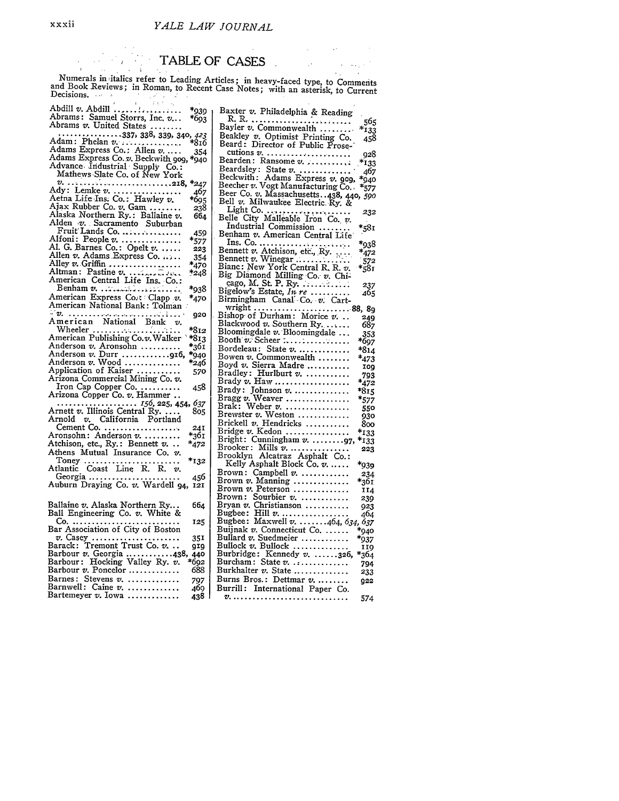## TABLE OF CASES

Numerals initalics refer to Leading Articles; in heavy-faced type, to Comments and Book Reviews; in Roman, to Recent Case Notes; with an asterisk, to Current Decisions.

| *939                                                                                              | Baxter v. Philadelphia & Reading                                    |
|---------------------------------------------------------------------------------------------------|---------------------------------------------------------------------|
| *693                                                                                              |                                                                     |
| Abrams v. United States                                                                           | Bayler v. Commonwealth                                              |
| $\cdots$ 337, 338, 339, 340, 423                                                                  |                                                                     |
| Adam: Phelan v.<br>*816                                                                           | Beakley v. Optimist Printing Co.<br>Beard: Director of Public Prose |
| Adams Express Co.: Allen v<br>354                                                                 | cutions $v_1, \ldots, \ldots, \ldots, \ldots, \ldots$               |
| Adams Express Co. v. Beckwith 909, *940                                                           | Bearden: Ransome v.                                                 |
| Advance Industrial Supply Co.:                                                                    | Beardsley: State $v$                                                |
| Mathews Slate Co. of New York                                                                     | Beckwith: Adams Express v. 909                                      |
| $v_{i_1}, \ldots, v_{i_r}, \ldots, v_{i_r}, \ldots, v_{i_r}, \ldots, v_{i_r}$ . 218,<br>$*_{247}$ | Beecher v. Vogt Manufacturing Co.                                   |
| Ady: Lemke v.<br>467                                                                              | Beer Co. v. Massachusetts. . 438, 4                                 |
| Aetna Life Ins. Co.: Hawley v.<br>*695                                                            | Bell v. Milwaukee Electric Ry. &                                    |
| Ajax Rubber Co. v. Gam<br>238                                                                     |                                                                     |
| Alaska Northern Ry.: Ballaine $v$ .<br>664                                                        |                                                                     |
| Alden v. Sacramento Suburban                                                                      | Industrial Commission                                               |
| Fruit Lands Co.<br>459                                                                            | Benham v. American Central Life                                     |
| Alfoni: People v.<br>$*_{577}$                                                                    |                                                                     |
| Al. G. Barnes Co.: Opelt $v$<br>223                                                               |                                                                     |
| Allen v. Adams Express Co.<br>354                                                                 | Bennett $v$ . Winegar                                               |
| Alley $v.$ Griffin<br>$*_{470}$                                                                   | Bianc: New York Central R, R. v.                                    |
| Altman: Pastine $v_1, \ldots, v_n$<br>*248                                                        |                                                                     |
| American Central Life Ins. Co.:                                                                   | Big Diamond Milling Co. v. Chi-<br>cago, M. St. P. Ry.              |
| *938<br>$\text{Benham } v \dots \dots \dots \dots \dots \dots \dots$                              | Bigelow's Estate, In re                                             |
| American Express Cont Clapp v.<br>*470                                                            | Birmingham Canal Co. v. Cart-                                       |
| American National Bank: Tolman                                                                    | wright $\ldots$ . $\ldots$ . $\ldots$ . $\ldots$ . $\ldots$ .       |
| 920                                                                                               | Bishop of Durham: Morice $v$                                        |
| American National Bank v.                                                                         | Blackwood v. Southern Ry.                                           |
| Wheeler<br>*812                                                                                   | Bloomingdale $v$ . Bloomingdale                                     |
| American Publishing Co.v. Walker<br>$*813$                                                        | Booth v. Scheer $\ldots, \ldots, \ldots, \ldots$                    |
| Anderson v. Aronsohn<br>*361<br>Anderson v. Durr 916,                                             | Bordeleau: State $v$                                                |
| *940<br>Anderson $v.$ Wood                                                                        | Bowen $v$ . Commonwealth                                            |
| *246<br>Application of Kaiser                                                                     | Boyd v. Sierra Madre                                                |
| 570<br>Arizona Commercial Mining Co. v.                                                           | Bradley: Hurlburt v.                                                |
| Iron Cap Copper Co<br>458                                                                         | Brady $v$ . Haw                                                     |
| Arizona Copper Co. v. Hammer                                                                      | Brady: Johnson $v$                                                  |
|                                                                                                   | Bragg $v.$ Weaver                                                   |
| Arnett $v$ . Illinois Central Ry.<br>805                                                          | Brak: Weber $v$                                                     |
| Arnold v. California Portland                                                                     | Brewster v. Weston                                                  |
| Cement Co.<br>24I                                                                                 | Brickell v. Hendricks                                               |
| *361<br>Aronsohn: Anderson v.                                                                     | Bridge v. Kedon                                                     |
| Atchison, etc., Ry.: Bennett v<br>*472                                                            | Bright: Cunningham v. 97                                            |
| Athens Mutual Insurance Co. v.                                                                    | Brooker: Mills $v$<br>Brooklyn Alcatraz Asphalt Co.:                |
| $*_{132}$                                                                                         | Kelly Asphalt Block Co. v.                                          |
| Toney<br>Atlantic Coast Line R. R. v.                                                             | Brown: Campbell $v$                                                 |
| Georgia<br>456                                                                                    | Brown $v$ . Manning                                                 |
| Auburn Draying Co. v. Wardell 94, 121                                                             | Brown $v$ . Peterson                                                |
|                                                                                                   | Brown: Sourbier v.                                                  |
| Ballaine v. Alaska Northern Ry<br>664                                                             | Bryan $v$ . Christianson                                            |
| Ball Engineering Co. v. White &                                                                   | Bugbee: Hill $v$                                                    |
| 125                                                                                               | Bugbee: Maxwell $v$ 464, 63                                         |
|                                                                                                   | Buijnak $v$ . Connecticut Co.                                       |
| $v.$ Casey<br>35 I                                                                                | Bullard $v$ . Suedmeier $\ldots \ldots \ldots$                      |
| Barack: Tremont Trust Co. v.<br><b>QIQ</b>                                                        | Bullock v. Bullock                                                  |
| Barbour v. Georgia 438, 440                                                                       | Burbridge: Kennedy $v$ 326                                          |
| Barbour: Hocking Valley Ry. v.<br>*692                                                            | Burcham: State $v$                                                  |
| Barbour $v$ . Poncelor $\dots\dots\dots\dots$<br>688                                              | Burkhalter v. State                                                 |
| Barnes: Stevens $v$<br>797                                                                        | Burns Bros.: Dettmar $v$                                            |
| Barnwell: Caine $v$ .<br>469                                                                      | Burrill: International Paper Co.                                    |
| Bartemeyer $v$ . Iowa<br>438                                                                      |                                                                     |

| Baxter v. Philadelphia & Reading                                                                     |                       |
|------------------------------------------------------------------------------------------------------|-----------------------|
| R. R.                                                                                                | 565                   |
| Bayler v. Commonwealth<br>Beakley v. Optimist Printing Co.<br>Beard: Director of Public Prose-       | $*_{133}$             |
|                                                                                                      | 458                   |
|                                                                                                      |                       |
|                                                                                                      | 928                   |
|                                                                                                      | $*_{133}$             |
| Beardsley: State v.<br>Beckwith: Adams Express v. 909,<br>Beecher v. Vogt Manufacturing Co.          | 467                   |
|                                                                                                      | $*_{940}$             |
|                                                                                                      | $*_{577}$             |
| Beer Co. v. Massachusetts. .438, 440, 590<br>Bell v. Milwaukee Electric Ry. &                        |                       |
|                                                                                                      |                       |
|                                                                                                      |                       |
|                                                                                                      | 232                   |
|                                                                                                      |                       |
| Industrial Commission<br>Benham v. American Central Life                                             | *581                  |
|                                                                                                      |                       |
| Ins. Co.<br>Bennett v. Atchison, etc., Ry.<br>Bennett v. Winegar<br>Bianc: New York Central R, R, v. | *938                  |
|                                                                                                      | $*_{472}$             |
|                                                                                                      | $*_{581}^{572}$       |
|                                                                                                      |                       |
|                                                                                                      |                       |
| Big Diamond Milling Co. v. Chi-<br>cago, M. St. P. Ry.                                               |                       |
|                                                                                                      | 237<br>465            |
| Bigelow's Estate, In re<br>Birmingham Canal Co. v. Cart-                                             |                       |
|                                                                                                      |                       |
|                                                                                                      | 249                   |
| Blackwood v. Southern Ry.                                                                            | 687                   |
|                                                                                                      | 353                   |
| Bloomingdale v. Bloomingdale<br>Booth v. Scheer                                                      | *697                  |
| Bordeleau: State v.                                                                                  | $*814$                |
| Bowen v. Commonwealth                                                                                |                       |
| Boyd v. Sierra Madre                                                                                 | $*_{473}$             |
|                                                                                                      | <b>TO<sub>9</sub></b> |
| Bradley: Hurlburt v.<br>Brady v. Haw                                                                 | 793                   |
|                                                                                                      | $*_{472}$             |
| Brady: Johnson v.<br>Bragg v. Weaver                                                                 | *815                  |
|                                                                                                      | $*_{577}$             |
| Brak: Weber v.<br>Brewster v. Weston<br>Brickell v. Hendricks                                        | 550                   |
|                                                                                                      | 930                   |
|                                                                                                      | 800                   |
| Bridge v. Kedon<br>Bridge v. Kedon<br>Bright: Cunningham v. 97,                                      | $*$ 133               |
|                                                                                                      | *133                  |
|                                                                                                      | 223                   |
| Brooklyn Alcatraz Asphalt Co.:                                                                       |                       |
| Kelly Asphalt Block Co. v.                                                                           | *939                  |
| Brown: Campbell v.                                                                                   | 234                   |
| Brown v. Manning                                                                                     | *361                  |
| Brown v. Peterson                                                                                    | 114                   |
| Brown: Sourbier v.                                                                                   | 239                   |
|                                                                                                      | 923                   |
| Bryan v. Christianson<br>Bugbee: Hill v.                                                             | 464                   |
|                                                                                                      |                       |
| Bugbee: Maxwell v. 464, 634, 637<br>Buijnak v. Connecticut Co.  *940                                 |                       |
| Buijnak v. Connecticut Co.<br>Bullard v. Suedmeier                                                   |                       |
|                                                                                                      | *937                  |
| Bullock v. Bullock<br>Burbridge: Kennedy v. 326,                                                     | 119                   |
|                                                                                                      | *364                  |
| Burcham: State $v$ .                                                                                 | 794                   |
| Burkhalter v. State                                                                                  | 233                   |
| Burns Bros.: Dettmar v.                                                                              | 922                   |
| Burrill: International Paper Co.                                                                     |                       |
|                                                                                                      | 574                   |
|                                                                                                      |                       |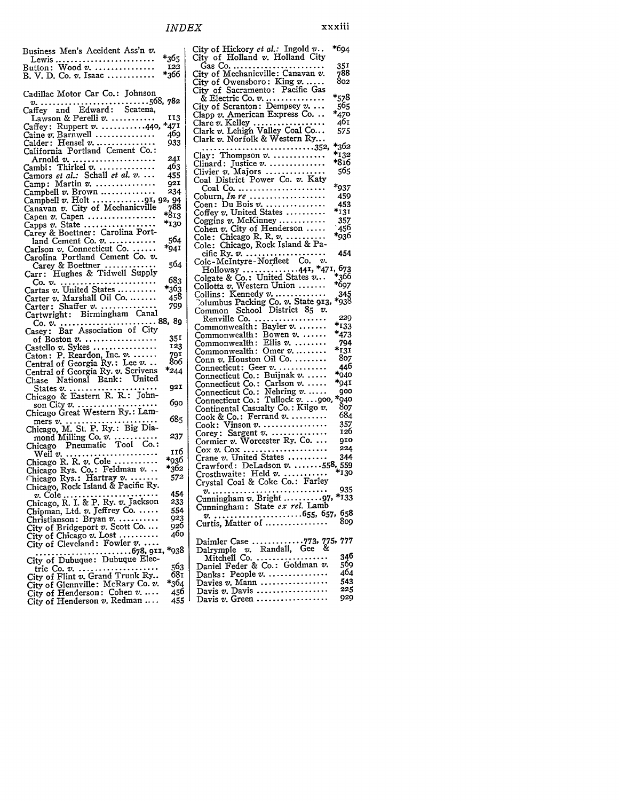| Business Men's Accident Ass'n v.                                                    |             |
|-------------------------------------------------------------------------------------|-------------|
|                                                                                     | *365        |
|                                                                                     | 122         |
| B. V. D. Co. v. Isaac                                                               | *366        |
|                                                                                     |             |
| Cadillac Motor Car Co.: Johnson                                                     |             |
|                                                                                     |             |
|                                                                                     |             |
| Lawson & Perelli v.                                                                 | 113         |
| Caffey: Ruppert v. 440,                                                             | *471        |
| Caine v. Barnwell                                                                   | 469         |
| Calder: Hensel v.                                                                   | 933         |
| California Portland Cement Co.:                                                     |             |
| Arnold $v$                                                                          | 24I         |
| Cambi: Thirkel $v$ .                                                                | 463         |
| Camors et al.: Schall et al. v.                                                     | 455         |
| Camp: Martin $v$                                                                    | 921         |
| Campbell v. Brown                                                                   | 234         |
| Campbell v. Holt 91, 92, 94<br>Canavan v. City of Mechanicville 788                 |             |
|                                                                                     |             |
| Capen $v$ . Capen                                                                   | *813        |
| Capps $v$ . State                                                                   | *130        |
| Carey & Boettner: Carolina Port-                                                    |             |
| land Cement Co. v.                                                                  | 564         |
| Carlson v. Connecticut Co.                                                          | $*_{941}$   |
| Carolina Portland Cement Co. v.                                                     |             |
| Carey & Boettner<br>Carr: Hughes & Tidwell Supply                                   | 564         |
|                                                                                     |             |
|                                                                                     | 683         |
|                                                                                     | *363        |
|                                                                                     | 458         |
| Carter: Shaffer v.                                                                  | 799         |
|                                                                                     |             |
|                                                                                     |             |
|                                                                                     |             |
|                                                                                     |             |
| of Boston $v$ .                                                                     | 35I         |
|                                                                                     | 123         |
|                                                                                     | 791         |
| Castello v. Sykes<br>Caton: P. Reardon, Inc. v.<br>Central of Georgia Ry.: Lee v.   | 806         |
|                                                                                     | *244        |
| Central of Georgia Ry. v. Scrivens<br>Chase National Bank: United                   |             |
|                                                                                     | 92I         |
| States v.<br>Chicago & Eastern R. R.: John-                                         |             |
|                                                                                     | 690         |
| son City v.<br>Chicago Great Western Ry.: Lam-                                      |             |
|                                                                                     | 685         |
| mers v.<br>Chicago, M. St. P. Ry.: Big Dia-                                         |             |
|                                                                                     | 237         |
| mond Milling Co. v.<br>Chicago Pneumatic Tool Co.:                                  |             |
| .<br>Weil v.                                                                        | 116<br>*036 |
| Chicago R. R. $v$ . Cole                                                            |             |
| Chicago Rys. Co.: Feldman v.                                                        | *362        |
| Chicago Rys.: Hartray v.                                                            | 572         |
| Chicago, Rock Island & Pacific Ry.                                                  |             |
|                                                                                     | 454         |
| v. Cole<br>Chicago, R. I. & P. Ry. v. Jackson                                       | 233<br>554  |
|                                                                                     |             |
| Chipman, Ltd. v. Jeffrey Co.<br>Christianson: Bryan v.                              | 923<br>926  |
| City of Bridgeport v. Scott Co                                                      | 460         |
| City of Chicago v. Lost                                                             |             |
| City of Cleveland: Fowler v.                                                        | *938        |
|                                                                                     |             |
| City of Dubuque: Dubuque Elec-                                                      | 563         |
| tric Co. v.<br>City of Flint v. Grand Trunk Ry<br>City of Glennville: McRary Co. v. | 681<br>*364 |

City of Henderson: Cohen *v.* . 456 City of Henderson *v.* Redman .... 455

City of Hickory *et al.:* Ingold *v..* \*694 City of Holland v. Holland City Gas Co ........................ **351** City of Mechanicville: Canavan **v.** 788 City of Owensboro: King *v. ..... 8o2* City of Sacramento: Pacific Gas & Electric Co. *v.............* **\*578** City of Scranton: Dempsey v. **565** Clapp v. American Express Co. **\*470** Clare v. Kelley .................. **461** Clark v. Lehigh Valley Coal **Co...** 575 Clark v. Norfolk & Western Ry... **............................ 352,** \*362 Clay: Thompson **v.** ............. **\*132** Clinard: Justice **v.** .............. \*816 Clivier *v.* Majors ............... **565** Coal District Power Co. v. Katy Coal Co ....................... \*937 Coburn, *In re ...................* 459 Coen: DuBois *v.* ............... 453 Coffey v. United States .......... **\*131** Coggins *v.* McKinney ............ 357 Cohen v. City of Henderson **.....** '456 Cole: Chicago R. R. *v.* ......... \*936 Cole: Chicago, Rock Island & Pacific Ry. **v.** .................... 454 Cole-Mclntyre-Nor.fleet Co. v. Holloway ............. **441,** \*471, 673 Colgate & Co.: United States v.. \*366 Collotta v. Western Union ....... \*697 Collins: Kennedy *v* .............. 345 7olumbus Packing Co. **v.** State **913,** \*938 Common School District **85** v. Renville Co ................... 229 Commonwealth: Bayler v........ **\*133** Commonwealth: Bowen *v* ....... \*473 Commonwealth: Ellis **v.** ........ 794 Commonwealth: Omer v........ **\*131** Conn *v.* Houston Oil Co .......... **807** Connecticut: Geer **v.** ............ 446 Connecticut Co.: Buijnak *v.* ..... \*940<br>Connecticut Co.: Carlson *v.* ..... \*941<br>Connecticut Co.: Nehring *v.* ..... 900 Connecticut Co.: Tullock *v.* .. **-9oo, \*940** Continental Casualty Co.: Kilgo *v.* **807** Cook & Co.: Ferrand v .......... 684 Cook: Vinson *v* **....................** 357 Corey: Sargent v ............... 126 Cormier v. Worcester Ry. Co. **9o** Cox *V.* Cox ..................... **<sup>224</sup>** Crane v. United States .......... 344 Crane *v*. United States .......... 544<br>Crawford: DeLadson *v*. .......558, 559 Crosthwaite: Held v **............. \*130** Crystal Coal & Coke Co.: Farley *v* ............................. **935** Cunningham *v.* Bright .......... **97, \*133** Cunningham: State *ex rel.* Lamb **S......................... 655, 657, 658** Curtis, Matter of ................ Daimler Case ............. **773, 775, 777** Dalrymple v. Randall, Gee **&** Mitchell Co ................... 346 Daniel Feder & Co.: Goldman *v.* **569** Danks: People **v.** ............... 464 Davies v. Mann .................... 543<br>Davis v. Davis ..................... 225 Davis v. Davis .................. **225**

Davis v. Green ..................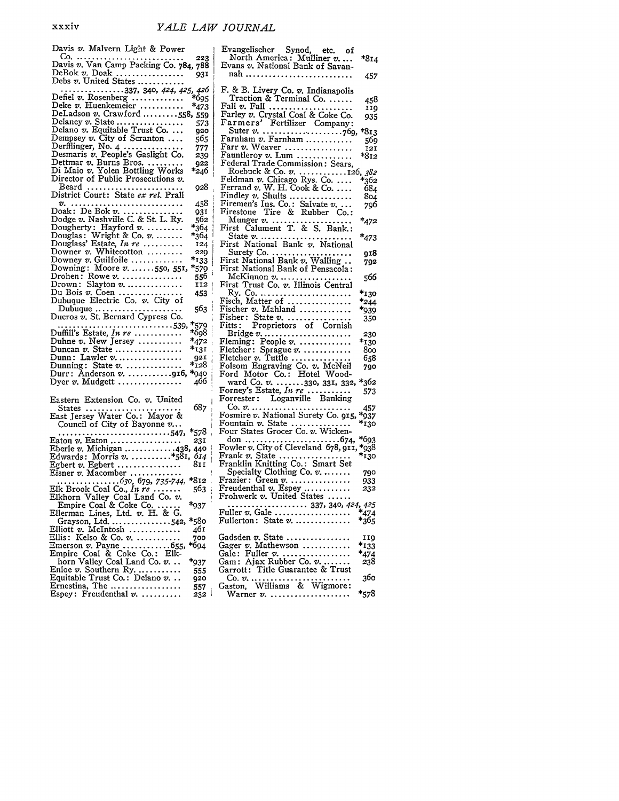| Davis v. Malvern Light & Power                                               |                  |
|------------------------------------------------------------------------------|------------------|
|                                                                              |                  |
|                                                                              |                  |
| DeBok v. Doak<br>Debs v. United States                                       | 931              |
|                                                                              | 426              |
| Defiel v. Rosenberg                                                          |                  |
| Deke v. Huenkemeier                                                          | $*_{473}$        |
| DeLadson $v$ . Crawford 558,                                                 | 559              |
| Delaney v. State                                                             | 573              |
| Delano v. Equitable Trust Co                                                 | 920              |
| Dempsey v. City of Scranton                                                  | 565              |
| Derfflinger, No. 4<br>Desmaris v. People's Gaslight Co.                      | 777              |
|                                                                              | 239              |
| Dettmar v. Burns Bros.<br>Di Maio v. Yolen Bottling Works                    | <b>Q22</b>       |
| Director of Public Prosecutions v.                                           | *246             |
|                                                                              | 928              |
| Beard<br>District Court: State ex rel. Prall                                 |                  |
| .<br>v.                                                                      | 458              |
| Doak: De Bok v.<br>Dodge v. Nashville C. & St. L. Ry.                        | 931              |
|                                                                              | 562              |
| Dougherty: Hayford v.                                                        | $*_{364}$        |
| Douglas: Wright & Co. v.<br>Douglass' Estate, In re                          | *364             |
|                                                                              | 124              |
| Downer $v$ . Whitecotton                                                     | 229              |
| Downey v. Guilfoile<br>Downing: Moore v550, 551,                             | *133             |
| Drohen: Rowe $v$                                                             | *579             |
| Slayton v.<br>Drown :                                                        | 556<br>112       |
|                                                                              | 453              |
| Du Bois v. Coen<br>Dubuque Electric Co. v. City of                           |                  |
| $\text{Dubuque} \dots \dots \dots \dots \dots \dots$                         | 563              |
| Ducros v. St. Bernard Cypress Co.                                            |                  |
|                                                                              | *579             |
|                                                                              | *698             |
| Duhne v. New Jersey                                                          | $*_{472}$        |
| Duncan v. State<br>Dunn: Lawler v                                            | $*_{131}$        |
| Dunning: State $v$                                                           | 921<br>$*_{128}$ |
| Durr: Anderson v. 916,                                                       | *940             |
| Dyer $v$ . Mudgett                                                           | 466              |
|                                                                              |                  |
| Eastern Extension Co. v. United                                              |                  |
|                                                                              | 687              |
| States<br>East Jersey Water Co.: Mayor &                                     |                  |
| Council of City of Bayonne v                                                 |                  |
| 547,                                                                         | *578             |
| Eaton $v$ . Eaton                                                            | 231              |
| Eberle v. Michigan 438, 440<br>Edwards: Morris v. *581, 614                  |                  |
|                                                                              |                  |
|                                                                              | 614              |
|                                                                              | 811              |
|                                                                              | *812             |
|                                                                              | 563              |
| Elk Brook Coal Co., In re<br>Elkhorn Valley Coal Land Co. v.                 |                  |
|                                                                              | *937             |
|                                                                              |                  |
| Empire Coal & Coke Co<br>Ellerman Lines, Ltd. v. H. & G.<br>Grayson, Ltd542, | *580             |
| Elliott v. McIntosh                                                          | 461              |
| Ellis: Kelso & Co. v.                                                        | 700              |
|                                                                              | *694             |
| Emerson v. Payne  655,<br>Empire_Coal & Coke Co.: Elk-                       |                  |
| horn Valley Coal Land Co. v                                                  | *937             |
| Enloe v. Southern Ry.                                                        | 555<br>920       |
| Equitable Trust Co.: Delano v<br>Ernestina, The<br>Espey: Freudenthal $v$    | 557              |

| Evangelischer Synod, etc. of                                                        |           |
|-------------------------------------------------------------------------------------|-----------|
| North America: Mulliner v<br>Evans v. National Bank of Savan-                       | $*8I4$    |
| nah                                                                                 | 457       |
| F. & B. Livery Co. v. Indianapolis                                                  |           |
| Traction & Terminal Co.                                                             | 458       |
|                                                                                     | 119       |
| Fall v. Fall<br>Farley v. Crystal Coal & Coke Co.                                   | 935       |
| Farmers' Fertilizer Company:                                                        |           |
|                                                                                     |           |
|                                                                                     |           |
| Farr v. Weaver                                                                      | 121       |
| Fauntleroy v. Lum<br>Federal Trade Commission: Sears,                               | *812      |
|                                                                                     |           |
|                                                                                     |           |
|                                                                                     |           |
|                                                                                     |           |
|                                                                                     |           |
|                                                                                     |           |
| Firestone Tire & Rubber Co.:                                                        |           |
| Munger v.<br>First Calument T. & S. Bank.:                                          | *472      |
|                                                                                     |           |
|                                                                                     | *473      |
| State v.<br>First National Bank v. National                                         |           |
| Surety Co.<br>First National Bank v. Walling<br>First National Bank of Pensacola:   | 918       |
|                                                                                     | 792       |
|                                                                                     |           |
| McKinnon v.<br>First Trust Co. v. Illinois Central                                  | 566       |
|                                                                                     | *130      |
|                                                                                     | *244      |
| Ry. Co.<br>Fisch, Matter of<br>Fischer v. Mahland                                   | *939      |
|                                                                                     |           |
| Fisher: State v.<br>Fitts: Proprietors of Cornish                                   | 350       |
| Bridge $v_1$                                                                        | 230       |
| Fleming: People v.                                                                  | *130      |
| Fletcher: Sprague v.                                                                | 800       |
|                                                                                     | 658       |
|                                                                                     | 790       |
| Fletcher v. Tuttle<br>Folsom Engraving Co. v. McNeil<br>Ford Motor Co.: Hotel Wood- |           |
|                                                                                     | *362      |
| ward Co. v. 330, 331, 332,<br>Forney's Estate, In re                                | 573       |
| Forrester: Loganville Banking                                                       |           |
|                                                                                     | 457       |
|                                                                                     | *937      |
| Fountain v. State<br>Four States Grocer Co. v. Wicken-                              | *130      |
|                                                                                     |           |
|                                                                                     | *693      |
|                                                                                     | *938      |
| Frank v. State<br>Franklin Knitting Co.: Smart Set                                  | *130      |
|                                                                                     |           |
| Specialty Clothing Co. v.                                                           | 790       |
|                                                                                     | 933       |
|                                                                                     | 232       |
| Frazier: Green v.<br>Freudenthal v. Espey<br>Frohwerk v. United States              |           |
|                                                                                     | 425       |
| Fuller $v$ . Gale                                                                   | .<br>*474 |
| Fullerton: State $v$                                                                | *365      |
|                                                                                     | 119       |
| Gadsden v. State<br>Gager v. Mathewson                                              | $*_{133}$ |
| Gale: Fuller $v_1, \ldots, \ldots, \ldots$                                          | *474      |
| Gam: Ajax Rubber Co. v.                                                             |           |
|                                                                                     | 238       |
| Garrott: Title Guarantee & Trust                                                    |           |
|                                                                                     | 360       |
| Gaston, Williams & Wigmore:<br>Warner v.                                            | *578      |
|                                                                                     |           |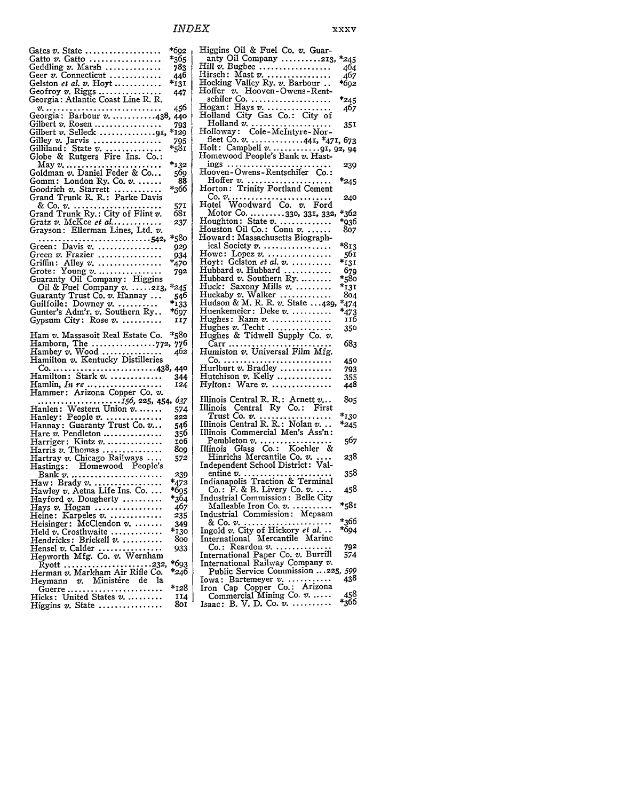Gates *v*. State ...................... \*692<br>Gatto *v*. Gatto ................... \*365 Gatto *v*. Gatto .................... \*365<br>Geddling *v*. Marsh ............... 783 Geddling *v.* Marsh .............. 783 Geer *v.* Connecticut ............. 446 Gelston *et al. v.* Hoyt ............ Geofroy *v.* Riggs ................ 447 Georgia: Atlantic Coast Line R. R. **V.** *............................. <sup>456</sup>* Georgia: Barbour *V............438,* 440 Gilbert *v.* Rosen ................. 793 Gilbert *v.* Selleck .............. **91, \*I29** Gilley *v.* Jarvis ................. *795* Gilliland: State *v* **................** \*581 Globe & Rutgers Fire Ins. Co.: May *v.* **............................** \*132 Goldman *v.* Daniel Feder & Co... **569** Goldman v. Daniel Feder & Co... 569<br>Gomm: London Ry. Co. v. ...... 88<br>Goodrich v. Starrett .............. \*366 Goodrich v. Starrett ....... Grand Trunk R. R.: Parke Davis & Co. *v.* **...........................** <sup>571</sup> Grand Trunk Ry.: City of Flint *v.* 681 Gratz v. *McKee et al* ............ *237* Grayson: Ellerman Lines, Ltd. *v. .......................... 542,* **\*580** Green: Davis *v...............929* Green *v.* Frazier ................ 934 Griffin: Alley *v.* **..................** \*470 Grote: Young *v* ................. **792** Guaranty Oil Company: Higgins Oil & Fuel Company *v.* **.....** 213, *\*245* Guaranty Trust Co. *v.* Hannay **...** 546 Guilfoile: Downey *v.* **............** \*133 Gunter's Adm'r. *v.* Southern Ry.. **\*697** Gunter's Adm'r. v. Southern Ry.. \*697<br>Gypsum City: Rose v. ............ 117 Ham *v.* Massasoit Real Estate Co. \*58o Hamborn, The ................ **772,** 776 Hambey *v.* Wood **...............** *<sup>462</sup>* Hambey *v*. Wood ................<br>Hamilton *v*. Kentucky Distilleries Co. ..................................438, 440<br>amilton: Stark v. ............... 344 Hamilton: Stark *v.* **................** 344 Hamlin, *In re* .............. Hammer: Arizona Copper Co. *v. ..................... 156, 225,* 454, *637* Hanlen: Western Union *v* **.......** 574 Hanley: People *v.* **................. 222** Hannay: Guaranty Trust Co. v... 546 Hannay: Guaranty Trust Co. v... 546<br>Hare *v.* Pendleton ................. 356<br>Harriger: Kintz v. ................. 106 Harriger: Kintz *v.* **.................** o6 Harris *v.* Thomas ............... 8o9 Hartray *v.* Chicago Railways **.... 572** Hastings: Homewood People's Bank *v.* **........................... 239** Haw: Brady *v* **....................** \*472 Hawley *v.* Aetna Life Ins. Co **...** \*695 Hayford *v*. Dougherty ........... \*364<br>Hays *v.* Hogan ................... 467 Hays *v.* Hogan ................. *467* Heine: Karpeles *v.* **................ 235** Heisinger: McClendon *v.* **........** 349 Held *v.* Crosthwaite ............. **\*130** Hendricks: Brickell *v.* **...........** 8oo Hensel *v.* Calder ................ 933 Hepworth Mfg. Co. *v.* Wernham Ryott ...................... **232,** \*693 Herman *v.* Markham Air Rifle Co. \*246 Heymann v. Ministére de la<br>Guerre ........................... Guerre ........................ \*128 Hicks: United States *v.* **........... 14** Higgins *v.* State ................ **Sol** Higgins Oil & Fuel Co. v. Guaranty Oil Company .......... 213, \*245 Hill v. Bugbee .................. 464 Hirsch: Mast *v* **....................** <sup>467</sup> Hocking Valley Ry. *v.* Barbour **..** \*692 Hoffer *v.* Hooven -Owens **-** Rentschiler <u>C</u>o. ....................... \*245 Hogan: Hays *v* ................. 467 Holland City Gas Co.: City of Holland **v.** .................... **351** Holloway: Cole-McIntyre- Norfleet Co. *v.* **.............** 441, \*471, 673 Holt: Campbell *v* .......... **91,** 92, 94 Homewood People's Bank *v.* Hastings .......................... **239** Hooven- Owens-Rentschifer Co.: Hoffer *v.* ..................... \*245 Horton: Trinity Portland Cement **Co.** *V.* **.............................** <sup>240</sup> Hotel Woodward Co. *v.* Ford Motor Co .......... **330,** 331, **332,** \*362 Houghton: State *v* .............. \*936 Houston Oil Co.: Conn *v.* ....... 807 Howard: Massachusetts Biographical Society **v.** ................. \*813 Howe: Lopez *v.* **...................** <sup>561</sup> Hoyt: Gelston *et al. v* **............** \*131 Hubbard *v.* Hubbard ............ 679 Hubbard *v.* Hubbard .............. 679<br>Hubbard *v.* Southern Ry ......... \*580 Huck: Saxony Mills **v. ..........** \*131 Huckaby v. Walker ............. 804 Hudson & M. R. R. *v.* State ... 429, \*474 Huenkemeier: Deke *v.* **...........** \*473 Hughes: Rann *v.* ............... 116 Hughes *v.* Techt ................ **350** Hughes & Tidwell Supply Co. *v.* Carr **.......................... 683** Humiston *v.* Universal Film **Mfg.** Co ............................ 450 Hurlburt *v.* Bradley ............. 793 Hutchison v. Kelly .............. 355 Hylton: Ware *v.* **..................** <sup>448</sup> Illinois Central R. R.: Arnett v... **805** Illinois Central Ry Co.: First Trust Co. *v.* .................. *\*130* Illinois Central R. R.: Nolan *v...* \*245 Illinois Commercial Men's Ass'n: Pembleton *v.* **......................** *<sup>567</sup>* Illinois Glass Co.: Koehler & Hinrichs Mercantile Co. *v. ....* 238 Independent School District: Valentine *v.* **.......................... 358** Indianapolis Traction & Terminal Co.: F. & B. Livery Co. v *.....* 458 Industrial Commission: Belle City Malleable Iron Co. **v. ........... \*581** Malleable Iron Co. v. ..........<br>Industrial Commission: Mepaam & Co. *v.* **......................** \*366 Ingold v. City of Hickory *et al...* \*694 International Mercantile Marine Co.: Reardon *v.* **................. 792** International Paper Co. *v.* Burrill International Railway Company *v.* Public Service Commission ... 225, *599* Iowa: Bartemeyer v. ........... Iron Cap Copper Co.: Arizona Commercial Mining Co. *v......* <sup>458</sup> Isaac: B. V. D. Co. *v* **............** \*366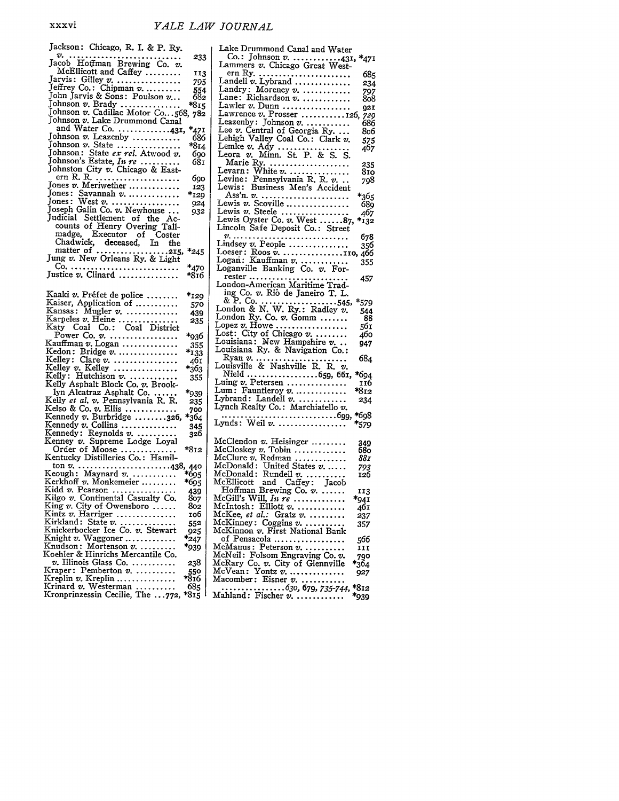| Jackson: Chicago, R. I. & P. Ry.                                       |               | Lake Drummond Canal and Water                                    |               |
|------------------------------------------------------------------------|---------------|------------------------------------------------------------------|---------------|
|                                                                        | 233           | Co.: Johnson v. 431, $*_4$                                       |               |
| Jacob Hoffman Brewing Co. v.                                           |               | Lammers v. Chicago Great West-                                   |               |
| McEllicott and Caffey                                                  | 113           | ern Ry.                                                          | 6             |
| Jarvis: Gilley $v$                                                     | 795           | Landell $v$ . Lybrand                                            | 2,            |
| Jeffrey Co.: Chipman v                                                 | 554           | Landry: Morency v.                                               | 7             |
| John Jarvis & Sons: Poulson v                                          | 682           | Lane: Richardson v.                                              | 8             |
| Johnson v. Brady                                                       | $*815$        | Lawler v. Dunn                                                   | g,            |
| Johnson v. Cadillac Motor Co568, 782<br>Johnson v. Lake Drummond Canal |               | Lawrence v. Prosser 126, 7                                       |               |
| and Water Co. 431,                                                     |               |                                                                  | 6.            |
| Johnson v. Leazenby                                                    | *471          | Lee v. Central of Georgia Ry.                                    | 8             |
| Johnson v. State                                                       | 686<br>$*814$ | Lehigh Valley Coal Co.: Clark v.                                 | 5.            |
| Johnson: State ex rel. Atwood v.                                       | 690           | Lemke $v.$ Ady                                                   | 4             |
| Johnson's Estate, In re                                                | 681           | Leora v. Minn. St. P. & S. S.                                    |               |
| Johnston City v. Chicago & East-                                       |               | Marie Ry.<br>Levarn: White v.                                    | $\frac{2}{8}$ |
| ern R. R.                                                              | 690           | Levine: Pennsylvania R. R. v.                                    |               |
| Jones v. Meriwether                                                    | 123           | Lewis: Business Men's Accident                                   | 79            |
| Jones: Savannah v.                                                     | *129          | Ass'n. $v$ .<br>*36                                              |               |
| Jones: West $v$                                                        | 924           | Lewis v. Scoville<br>68                                          |               |
| Joseph Galin Co. v. Newhouse                                           | 932           | Lewis v. Steele<br>46                                            |               |
| Judicial Settlement of the Ac-                                         |               | Lewis Oyster Co. $v$ . West 87,<br>;1*                           |               |
| counts of Henry Overing Tall-                                          |               | Lincoln Safe Deposit Co.: Street                                 |               |
| madge, Executor of Coster                                              |               | v.<br>67                                                         |               |
| Chadwick, deceased, In the                                             |               | Lindsey v. People<br>35                                          |               |
| matter of 215,                                                         | $*_{245}$     | Loeser: Roos $v$ . 110, 46                                       |               |
| Jung v. New Orleans Ry. & Light                                        |               | Logan: Kauffman v.<br>35                                         |               |
|                                                                        | *470          | Loganville Banking Co. $v$ . For-                                |               |
| Justice $v$ . Clinard                                                  | *816          | $rester$<br>45<br>.                                              |               |
|                                                                        |               | London-American Maritime Trad-                                   |               |
| Kaaki v. Préfet de police                                              | *129          | ing Co. v. Rio de Janeiro T. L.                                  |               |
| Kaiser, Application of                                                 | 570           | *57                                                              |               |
| Kansas: Mugler v.                                                      | 439           | London & N. W. Ry.: Radley $v$ .<br>54                           |               |
| Karpeles v. Heine                                                      | 235           | London Ry. Co. $v$ . Gomm                                        | 8             |
| Katy Coal Co.: Coal District                                           |               | Lopez $v$ . Howe<br>56                                           |               |
| Power Co. $v$ .                                                        | *936          | Lost: City of Chicago $v$<br>46<br>Louisiana: New Hampshire v    |               |
| Kauffman $v$ . Logan                                                   | 355           | 94<br>Louisiana Ry. & Navigation Co.:                            |               |
| Kedon: Bridge v.                                                       | *133          | 68<br>Ryan $v$                                                   |               |
| Kelley: Clare v.<br>Kelley v. Kelley                                   | 40 I          | Louisville & Nashville R. R. v.                                  |               |
| Kelly: Hutchison v.                                                    | *363          | Nield 659, 661,<br>*69                                           |               |
| Kelly Asphalt Block Co. v. Brook-                                      | 355           | Luing v. Petersen<br>IJ                                          |               |
| lyn Alcatraz Asphalt Co.                                               | *939          | Lum: Fauntleroy $v$<br>*81                                       |               |
| Kelly et al. v. Pennsylvania R. R.                                     | 235           | Lybrand: Landell $v$<br>23                                       |               |
| Kelso & Co. $v$ . Ellis                                                | 700           | Lynch Realty Co.: Marchiatello v.                                |               |
| Kennedy v. Burbridge 326,                                              | $*_{364}$     | *6g                                                              |               |
| Kennedy v. Collins                                                     | 345           | Lynds: Weil v.<br>$*_{57}$                                       |               |
| Kennedy: Reynolds $v$                                                  | 326           |                                                                  |               |
| Kenney v. Supreme Lodge Loyal                                          |               | McClendon v. Heisinger<br>34                                     |               |
| Order of Moose                                                         | *812          | McCloskey v. Tobin<br>68                                         |               |
| Kentucky Distilleries Co.: Hamil-                                      |               | McClure v. Redman<br>88.                                         |               |
|                                                                        |               | McDonald: United States v<br>79.                                 |               |
| Keough: Maynard $v$                                                    | *695          | $McDonald: Rundell v. \ldots \ldots$<br>I2(                      |               |
| Kerkhoff v. Monkemeier<br>Kidd $v$ . Pearson                           | *695          | McEllicott and Caffey: Jacob                                     |               |
| Kilgo v. Continental Casualty Co.                                      | 439<br>807    | Hoffman Brewing Co. $v$ .<br>11)<br>McGill's Will, In $r\bar{e}$ |               |
| King $v$ . City of Owensboro                                           | 802           | $*_{94}$<br>$McIntosh:$ Elliott $v.$ $\dots\dots\dots\dots$      |               |
| Kintz v. Harriger                                                      | тоб           | 46<br>McKee, et al.: Gratz $v$<br>23,                            |               |
| Kirkland: State v.                                                     | 552           | McKinney: Coggins $v$<br>35,                                     |               |
| Knickerbocker Ice Co. v. Stewart                                       | 925           | McKinnon v. First National Bank                                  |               |
| Knight $v$ . Waggoner                                                  | $*_{247}$     | of Pensacola<br>566                                              |               |
| Knudson: Mortenson v.                                                  | *939          | $McManus: Peterson v. \ldots \ldots$<br>11)                      |               |
| Koehler & Hinrichs Mercantile Co.                                      |               | McNeil: Folsom Engraving Co. v.<br>79¢                           |               |
| $v.$ Illinois Glass Co.                                                | 238           | McRary Co. v. City of Glennville<br>*364                         |               |
| Kraper: Pemberton v.                                                   | 550<br>816*   | McVean: Yontz $v$<br>927                                         |               |
| Kreplin v. Kreplin                                                     |               | $Macomber: Eisner v. \ldots \ldots$                              |               |
| Krinard $v$ . Westerman $\,\ldots\ldots\ldots$                         | 685           | $*812$<br>. 630, 679, <i>735-744,</i>                            |               |
| Kronprinzessin Cecilie, The 772, *815                                  |               | *939<br>Mahland: Fischer v.                                      |               |

| Lake Drummond Canal and Water                                              |  |
|----------------------------------------------------------------------------|--|
| Co.: Johnson v. 431, *471<br>Lammers v. Chicago Great West-                |  |
|                                                                            |  |
| ern Ry.<br>685<br>Landell $v$ . Lybrand                                    |  |
| 234<br>Landry: Morency v.<br>797                                           |  |
| Lane: Richardson v.<br>808                                                 |  |
| Lawler $v$ . Dunn<br>92I                                                   |  |
| Lawrence v. Prosser 126,<br>729                                            |  |
| Leazenby: Johnson $v$<br>686                                               |  |
| Lee v. Central of Georgia Ry<br>806<br>Lehigh Valley Coal Co.: Clark v.    |  |
| 575<br>407                                                                 |  |
| Lemke v. Ady<br>Leora v. Minn. St. P. & S. S.                              |  |
| Marie Ry.<br>235                                                           |  |
| 810                                                                        |  |
| 798                                                                        |  |
| *365                                                                       |  |
| Lewis v. Scoville<br>689                                                   |  |
| 467                                                                        |  |
| Lewis v. Steele<br>Lewis Oyster Co. v. West 87,<br>$*_{132}$               |  |
| Lincoln Safe Deposit Co.: Street                                           |  |
| v.<br>678<br>Lindsey v. People                                             |  |
| 356                                                                        |  |
| Loeser: Roos v. 110, 466<br>Logan: Kauffman v.  355                        |  |
| Loganville Banking Co. v. For-                                             |  |
| rester<br>457                                                              |  |
| London-American Maritime Trad-                                             |  |
| ing Co. v. Rio de Janeiro T. L.                                            |  |
| $\&$ P. Co. 545,<br>London $\&$ N. W. Ry.: Radley v.<br>*579<br>544        |  |
| London Ry. Co. $v$ . Gomm<br>88                                            |  |
| Lopez $v$ . Howe<br>561                                                    |  |
| Lost: City of Chicago $v_1, \ldots, v_n$<br>460                            |  |
| Louisiana: New Hampshire v<br>947<br>Louisiana Ry. & Navigation Co.:       |  |
| 684                                                                        |  |
|                                                                            |  |
| Nield 659, 661,<br>*694                                                    |  |
| Luing $v$ . Petersen<br>116                                                |  |
| Lum: Fauntleroy $v$<br>*812<br>Lybrand: Landell v.                         |  |
| 234<br>Lynch Realty Co.: Marchiatello v.                                   |  |
| . 699,<br>*698                                                             |  |
| Lynds: Weil v.<br>*579                                                     |  |
|                                                                            |  |
| $McC$ lendon $v$ . Heisinger<br>349                                        |  |
| McCloskey v. Tobin<br>680                                                  |  |
| McClure v. Redman<br>88 I<br>McDonald: United States $v_{n}$<br>793        |  |
| McDonald: Rundell $v_1$<br>126                                             |  |
| McEllicott and Caffey: Jacob                                               |  |
| Hoffman Brewing Co. v.<br>113                                              |  |
| McGill's Will, In $re$<br>-941                                             |  |
| McIntosh: Elliott v.<br>461<br>McKee, et al.: Gratz v.<br>237              |  |
| McKinney: Coggins $v$<br>357                                               |  |
| McKinnon v. First National Bank                                            |  |
| of Pensacola<br>566                                                        |  |
| McManus: Peterson v.<br>III                                                |  |
| McNeil: Folsom Engraving Co. v.<br>McRary Co. v. City of Glennville<br>790 |  |
| *364<br>McVean: Yontz $v$<br>927                                           |  |
| Macomber: Eisner v.                                                        |  |
| *812                                                                       |  |
| *939                                                                       |  |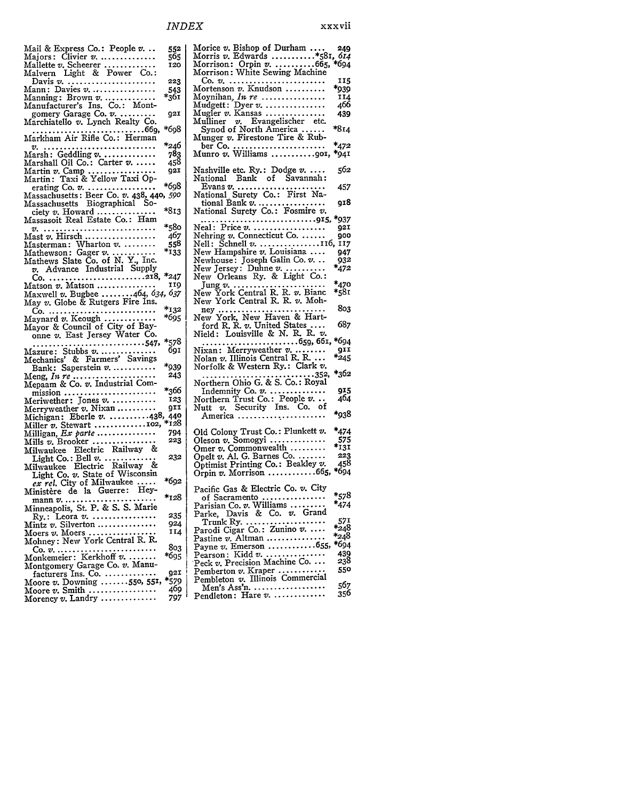| Morris v. Edwards *581, 614<br>565<br>Majors: Clivier $v$<br>Morrison: Orpin v.  665, *694<br>Mallette v. Scheerer<br>120<br>Morrison: White Sewing Machine<br>Malvern Light & Power Co.:<br>223<br>Co. v.<br>Davis $v_{i_1}, \ldots, v_{i_n}, \ldots, v_{i_n}, \ldots, v_{i_n}$<br>Mortenson $v$ . Knudson $\dots\dots\dots$<br>Mann: Davies $v$<br>543<br>$*_{361}$<br>Moynihan, In re<br>$\text{Manning: Brown } \mathit{v}. \dots \dots \dots \dots$ |              |
|----------------------------------------------------------------------------------------------------------------------------------------------------------------------------------------------------------------------------------------------------------------------------------------------------------------------------------------------------------------------------------------------------------------------------------------------------------|--------------|
|                                                                                                                                                                                                                                                                                                                                                                                                                                                          |              |
|                                                                                                                                                                                                                                                                                                                                                                                                                                                          |              |
|                                                                                                                                                                                                                                                                                                                                                                                                                                                          | 115          |
|                                                                                                                                                                                                                                                                                                                                                                                                                                                          | *939         |
|                                                                                                                                                                                                                                                                                                                                                                                                                                                          | 114          |
| Manufacturer's Ins. Co.: Mont-<br>Mudgett: Dyer $v$                                                                                                                                                                                                                                                                                                                                                                                                      | 466          |
| Mugler $v$ . Kansas<br>gomery Garage Co. $v$ .<br>92I                                                                                                                                                                                                                                                                                                                                                                                                    | 439          |
| Mulliner v. Evangelischer etc.<br>Marchiatello $v.$ Lynch Realty Co.                                                                                                                                                                                                                                                                                                                                                                                     |              |
| *698<br>Synod of North America                                                                                                                                                                                                                                                                                                                                                                                                                           | $*814$       |
| Markham Air Rifle Co.: Herman<br>Munger v. Firestone Tire & Rub-                                                                                                                                                                                                                                                                                                                                                                                         |              |
| *246<br>.                                                                                                                                                                                                                                                                                                                                                                                                                                                | *472         |
| Munro $v$ . Williams 901,<br>783<br>$\text{Marsh}: \text{ Gedding}\text{ } v\!\!\!\!\!\! \ldots\!\!\!\!\! \ldots\!\!\!\!\! \ldots\!\!\!\! \ldots\!\!\!\! \ldots\!\!\!\!$                                                                                                                                                                                                                                                                                 | *941         |
| 458<br>Marshall Oil Co.: Carter v.<br>Nashville etc. $R_y$ : Dodge $v$<br>921                                                                                                                                                                                                                                                                                                                                                                            | 562          |
| Martin: Taxi & Yellow Taxi Op-<br>National Bank of Savannah:                                                                                                                                                                                                                                                                                                                                                                                             |              |
| *698<br>Evans $v_1, \ldots, v_k, \ldots, v_k, \ldots, v_k$<br>erating $Co. v. \ldots \ldots \ldots \ldots$                                                                                                                                                                                                                                                                                                                                               | 457          |
| National Surety Co.: First Na-<br>Massachusetts: Beer Co. v. 438, 440, 590                                                                                                                                                                                                                                                                                                                                                                               |              |
| $\mathop{\mathrm{tional}}$ Bank $v$ . $\dots \dots \dots \dots \dots$<br>Massachusetts Biographical So-                                                                                                                                                                                                                                                                                                                                                  | 918          |
| *813<br>National Surety Co.: Fosmire v.<br>ciety $v$ . Howard $\dots \dots \dots \dots$                                                                                                                                                                                                                                                                                                                                                                  |              |
| Massasoit Real Estate Co.: Ham                                                                                                                                                                                                                                                                                                                                                                                                                           | *937         |
| *580<br>Neal: Price v.<br>v.                                                                                                                                                                                                                                                                                                                                                                                                                             | 921          |
| Nehring v. Connecticut Co.<br>407<br>Mast v. Hirsch                                                                                                                                                                                                                                                                                                                                                                                                      | goc          |
| Nell: Schnell $v$ 116, 117<br>558<br>Masterman: Wharton $v$ .                                                                                                                                                                                                                                                                                                                                                                                            |              |
| $*$ 133<br>New Hampshire $v$ . Louisiana<br>Mathewson: Gager $v$<br>Newhouse: Joseph Galin Co. $v$                                                                                                                                                                                                                                                                                                                                                       | 947<br>932   |
| Mathews Slate Co. of N. Y., Inc.<br>v. Advance Industrial Supply<br>New Jersey: Duhne $v_1, \ldots, v_n$                                                                                                                                                                                                                                                                                                                                                 | *472         |
| New Orleans Ry. & Light Co.:                                                                                                                                                                                                                                                                                                                                                                                                                             |              |
| 119<br>$Matson \ v.$ Matson $\dots\dots\dots\dots$                                                                                                                                                                                                                                                                                                                                                                                                       | *470         |
| Jung v.<br>New York Central R. R. v. Bianc<br>Maxwell v. Bugbee 464, 634, 637                                                                                                                                                                                                                                                                                                                                                                            | *581         |
| New York Central R. R. v. Moh-<br>May $v$ . Globe & Rutgers Fire Ins.                                                                                                                                                                                                                                                                                                                                                                                    |              |
| *132<br>$\text{ney} \dots \dots$<br>Co.<br>. <b>.</b> .                                                                                                                                                                                                                                                                                                                                                                                                  | 803          |
| New York, New Haven & Hart-<br>*695<br>Maynard v. Keough                                                                                                                                                                                                                                                                                                                                                                                                 |              |
| ford R. R. v. United States<br>Mayor & Council of City of Bay-                                                                                                                                                                                                                                                                                                                                                                                           | 687          |
| Nield: Louisville & N. R. R. $v$ .<br>onne v. East Jersey Water Co.                                                                                                                                                                                                                                                                                                                                                                                      | *694         |
| *578<br>. 659, 661,<br>. 547 <b>,</b><br>.                                                                                                                                                                                                                                                                                                                                                                                                               | 911          |
| Nixan: Merryweather $v$<br><b>691</b><br>Mazure: Stubbs v.<br>Mechanics' & Farmers' Savings<br>Nolan v. Illinois Central R. R.                                                                                                                                                                                                                                                                                                                           | $*_{245}$    |
| *939<br>Norfolk & Western Ry.: Clark v.<br>Bank: Saperstein $v$                                                                                                                                                                                                                                                                                                                                                                                          |              |
| 243                                                                                                                                                                                                                                                                                                                                                                                                                                                      | *362         |
| Northern Ohio G. & S. Co.: Royal<br>Mepaam & Co. v. Industrial Com-                                                                                                                                                                                                                                                                                                                                                                                      |              |
|                                                                                                                                                                                                                                                                                                                                                                                                                                                          |              |
| *366<br>Indemnity Co. $v$                                                                                                                                                                                                                                                                                                                                                                                                                                | 915          |
| $mission \dots \dots \dots \dots \dots \dots \dots \dots$<br>123<br>Meriwether: Jones $v$                                                                                                                                                                                                                                                                                                                                                                | 404          |
| Northern Trust Co.: People v<br>Security Ins. Co. of<br>grr<br>Nutt v.<br>Merryweather $v$ . Nixan                                                                                                                                                                                                                                                                                                                                                       |              |
| Michigan: Eberle $v$ . 438, 449<br>America                                                                                                                                                                                                                                                                                                                                                                                                               | *938         |
| $*128$<br>Miller v. Stewart 102,                                                                                                                                                                                                                                                                                                                                                                                                                         |              |
| Old Colony Trust Co.: Plunkett v.<br>794<br>Milligan, Ex parte                                                                                                                                                                                                                                                                                                                                                                                           | *474         |
| Oleson $v$ . Somogyi<br>223<br>Mills $v$ . Brooker                                                                                                                                                                                                                                                                                                                                                                                                       | 575          |
| Omer v. Commonwealth<br>Milwaukee Electric Railway &                                                                                                                                                                                                                                                                                                                                                                                                     | $*_{131}$    |
| Opelt v. Al. G. Barnes Co.<br>232<br>${\rm Light\ Co.}\colon {\rm Bell\ } v.\ \dots\dots\dots$                                                                                                                                                                                                                                                                                                                                                           | 223<br>458   |
| Optimist Printing Co.: Beakley v.<br>Milwaukee Electric Railway &                                                                                                                                                                                                                                                                                                                                                                                        | *694         |
| Orpin $v$ . Morrison 665,<br>Light Co. v. State of Wisconsin                                                                                                                                                                                                                                                                                                                                                                                             |              |
| *692<br>ex rel. City of Milwaukee<br>Pacific Gas & Electric Co. v. City                                                                                                                                                                                                                                                                                                                                                                                  |              |
| Ministère de la Guerre: Hey-<br>*128<br>of Sacramento<br>$mann v. \ldots$<br>.                                                                                                                                                                                                                                                                                                                                                                           | *578         |
| Parisian Co. v. Williams<br>Minneapolis, St. P. & S. S. Marie                                                                                                                                                                                                                                                                                                                                                                                            | *474         |
| Parke, Davis & Co. v. Grand<br>235<br>$Ry$ : Leora $v$                                                                                                                                                                                                                                                                                                                                                                                                   |              |
| $\text{Trunk } \text{Ry.} \dots \dots \dots \dots \dots \dots$<br>924<br>Mintz $v$ . Silverton                                                                                                                                                                                                                                                                                                                                                           | 571          |
| Parodi Cigar Co.: Zunino v.<br>II4<br>Moers v. Moers                                                                                                                                                                                                                                                                                                                                                                                                     | *248<br>*248 |
| Pastine v. Altman<br>Mohney: New York Central R. R.                                                                                                                                                                                                                                                                                                                                                                                                      | *694         |
| Payne $v$ . Emerson 655,<br>803                                                                                                                                                                                                                                                                                                                                                                                                                          | 439          |
| Pearson: Kidd v.<br>*695<br>Monkemeier: Kerkhoff v.                                                                                                                                                                                                                                                                                                                                                                                                      | 238          |
| Peck v. Precision Machine Co.<br>Montgomery Garage Co. v. Manu-<br>Pemberton $v$ . Kraper<br><b>92I</b>                                                                                                                                                                                                                                                                                                                                                  | 55¢          |
| facturers Ins. Co.<br>Pembleton v. Illinois Commercial<br>*579                                                                                                                                                                                                                                                                                                                                                                                           |              |
| Moore v. Downing 550, 551,<br>Men's Ass'n. $\dots\dots\dots\dots\dots\dots\dots$<br>469<br>Moore v. Smith<br>Pendleton: Hare v.<br>797 <sup>1</sup>                                                                                                                                                                                                                                                                                                      | 567<br>356   |

| Morrison: Orpin v. 665,<br>Morrison: White Sewing Machine                                                        |      |
|------------------------------------------------------------------------------------------------------------------|------|
|                                                                                                                  |      |
|                                                                                                                  | 115  |
| Mortenson $v$ . Knudson $\,\ldots\ldots\ldots$                                                                   | *939 |
|                                                                                                                  |      |
|                                                                                                                  | 114  |
| Moynihan, <i>In re</i><br>Mudgett: Dyer v.<br>Mugler v. Kansas                                                   | 466  |
|                                                                                                                  | 439  |
| Mulliner v. Evangelischer etc.<br>Synod of North America                                                         |      |
|                                                                                                                  | *814 |
|                                                                                                                  |      |
| Munger v. Firestone Tire & Rub-                                                                                  |      |
|                                                                                                                  | *472 |
| ber Co.<br>Munro v. Williams 901,                                                                                | *941 |
|                                                                                                                  |      |
| Nashville etc. Ry.: Dodge $v$                                                                                    | 562  |
| National Bank of Savannah:                                                                                       |      |
|                                                                                                                  |      |
|                                                                                                                  | 457  |
|                                                                                                                  |      |
|                                                                                                                  | 918  |
|                                                                                                                  |      |
| Evans v. The Community Co.: First National Bank v. The Community Co.: Forming v. National Surety Co.: Forming v. |      |
|                                                                                                                  | *937 |
| Neal: Price v.<br>Nehring v. Connecticut Co.                                                                     | 92I  |
|                                                                                                                  | goo  |
| Nell: Schnell $v$ 116, 117                                                                                       |      |
| New Hampshire v. Louisiana                                                                                       | 947  |
|                                                                                                                  |      |
| Newhouse: Joseph Galin Co. v.                                                                                    | 932  |
|                                                                                                                  | *472 |
| New Jersey: Duhne v.<br>New Orleans Ry. & Light Co. :                                                            |      |
|                                                                                                                  | *470 |
|                                                                                                                  | *581 |
| Jung v.<br>New York Central R. R. v. Bianc                                                                       |      |
| New York Central R. R. v. Moh-                                                                                   |      |
|                                                                                                                  | 803  |
|                                                                                                                  |      |
|                                                                                                                  |      |
|                                                                                                                  |      |
| ney<br>New York, New Haven & Hart-<br>ford R. R. v. United States                                                | 687  |
| Nield: Louisville & N. R. R. v.                                                                                  |      |
|                                                                                                                  | *694 |
| . 659, 661,                                                                                                      | τιو  |
| $N$ ixan: Merryweather $v$                                                                                       |      |
|                                                                                                                  | *245 |
| Nolan v. Illinois Central R. R.<br>Norfolk & Western Ry.: Clark v.                                               |      |
|                                                                                                                  | *362 |
|                                                                                                                  |      |
| Northern Ohio G. & S. Co.: Royal                                                                                 | 915  |
|                                                                                                                  |      |
| Indemnity Co. v.<br>Northern Trust Co.: People v                                                                 | 404  |
| Nutt $v$ . Security Ins. Co. of                                                                                  |      |
| America                                                                                                          | *938 |
|                                                                                                                  |      |
| Old Colony Trust Co.: Plunkett v.                                                                                | *474 |
|                                                                                                                  | 575  |
| Oleson $v$ . Somogyi                                                                                             |      |
| Omer v. Commonwealth                                                                                             | *131 |
| Opelt v. Al. G. Barnes Co.                                                                                       | 223  |
| Optimist Printing Co.: Beakley v.                                                                                | 458  |
|                                                                                                                  | *694 |
| Orpin $v$ . Morrison 665,                                                                                        |      |
|                                                                                                                  |      |
| Pacific Gas & Electric Co. v. City                                                                               |      |
| of Sacramento                                                                                                    | *578 |
|                                                                                                                  | *474 |
| Parisian Co. v. Williams<br>Parke, Davis & Co. v. Grand                                                          |      |
|                                                                                                                  | 571  |
|                                                                                                                  | *248 |
| Trunk Ry.<br>Parodi Cigar Co.: Zunino v.                                                                         |      |
| Pastine v. Altman                                                                                                | *248 |
| Payne $v$ . Emerson  655,                                                                                        | *694 |
| Pearson: Kidd v.                                                                                                 | 439  |
|                                                                                                                  | 238  |
| Peck v. Precision Machine Co.                                                                                    | 550  |
| Pemberton v. Kraper                                                                                              |      |
| Pembleton v. Illinois Commercial<br>Men's Ass'n.                                                                 | 567  |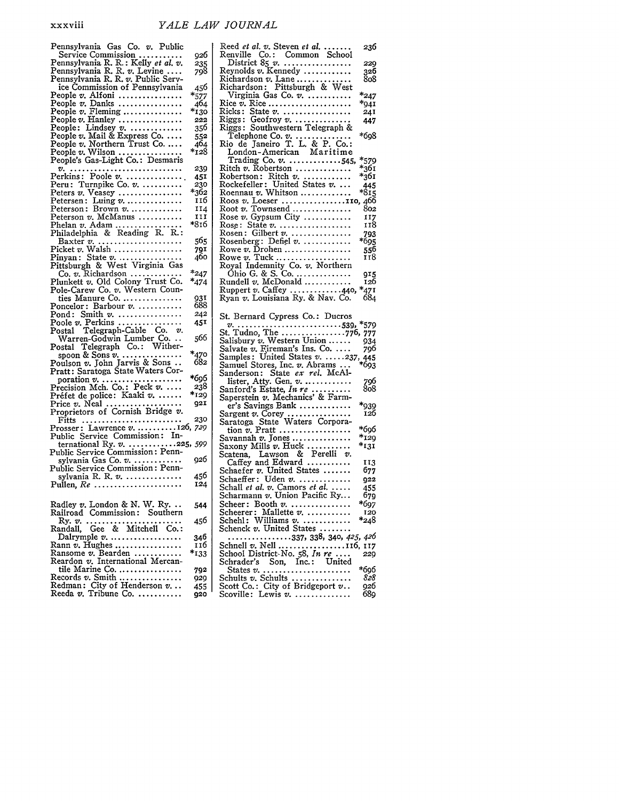| Pennsylvania Gas Co. v. Public                                                                         |                 |
|--------------------------------------------------------------------------------------------------------|-----------------|
| Service Commission<br>Pennsylvania R. R.: Kelly et al. v.                                              | 926             |
|                                                                                                        | 235<br>798      |
| Pennsylvania R. R. v. Levine<br>Pennsylvania R. R. v. Public Serv-                                     |                 |
| ice Commission of Pennsylvania                                                                         | 456             |
| People v. Alfoni                                                                                       | $*_{577}$       |
| People v. Danks<br>People v. Fleming                                                                   | 464             |
| People $v$ . Hanley                                                                                    | *130<br>222     |
| People: Lindsey $v$ .                                                                                  | 356             |
| People v. Mail & Express Co.                                                                           | 552             |
|                                                                                                        | 464             |
| People v. Northern Trust Co.<br>People v. Wilson                                                       | *128            |
| People's Gas-Light Co.: Desmaris<br>$v_{i_1}, \ldots, v_{i_k}, \ldots, \ldots, \ldots, \ldots, \ldots$ | 239             |
| Perkins: Poole $v$                                                                                     | 451             |
| Peru: Turnpike Co. v.                                                                                  | 230             |
| Peters $v.$ Veasey                                                                                     | *362            |
| $P$ etersen: Luing $v$                                                                                 | 116             |
| Peterson: Brown v.                                                                                     | 114             |
| Peterson v. McManus                                                                                    | 11 I<br>*816    |
| Phelan v. Adam<br>Philadelphia & Reading R. R.:                                                        |                 |
| Baxter v.                                                                                              | 565             |
|                                                                                                        | 79 <sup>I</sup> |
| Picket v. Walsh<br>Pinyan: State v.<br>Pittsburgh & West Virginia Gas                                  | 460             |
|                                                                                                        |                 |
| Co. $v$ . Richardson<br>Plunkett v. Old Colony Trust Co.                                               | $*_{247}$       |
| Pole-Carew Co. v. Western Coun-                                                                        | *474            |
| ties Manure Co.                                                                                        | 931             |
| $Poncelor: Barbour v. \ldots \ldots \ldots$                                                            | 688             |
| Pond: Smith $v$                                                                                        | 242             |
| Poole $v$ . Perkins                                                                                    | 451             |
| Postal Telegraph-Cable Co. v.<br>Warren-Godwin Lumber Co                                               | 566             |
| Telegraph Co.: Wither-<br>Postal                                                                       |                 |
| spoon & Sons v.                                                                                        | $*_{470}$       |
| Poulson v. John Jarvis & Sons<br>Pratt: Saratoga State Waters Cor-                                     | 682             |
|                                                                                                        | *696            |
| poration v.<br>Precision Mch. Co.: Peck v.                                                             | 238             |
| Préfet de police: Kaaki v.                                                                             | *129            |
|                                                                                                        | 92I             |
| Price v. Neal<br>Proprietors of Cornish Bridge v.                                                      |                 |
| Fitts                                                                                                  | 230             |
| Prosser: Lawrence v.  126, 729<br>Public Service Commission: In-                                       |                 |
|                                                                                                        |                 |
| ternational Ry. v. 225, 599<br>Public Service Commission: Penn-                                        |                 |
| sylvania Gas Co. v.                                                                                    | 926             |
| Public Service Commission : Penn-                                                                      |                 |
| sylvania R. R. $v$ .<br>Pullen, $Re$                                                                   | 456<br>124      |
|                                                                                                        |                 |
| Radley v. London & N. W. Ry.                                                                           | 544             |
| Railroad Commission: Southern                                                                          |                 |
| Ry. v.                                                                                                 | 456             |
|                                                                                                        |                 |
| Dalrymple $v$<br>Rann $v$ . Hughes                                                                     | 346<br>т тб     |
| Ransome v. Bearden                                                                                     | $*_{1,3,3}$     |
| Reardon v. International Mercan-                                                                       |                 |
| tile Marine Co.                                                                                        | 792             |
| Records v. Smith                                                                                       | 929             |
| Redman: City of Henderson v<br>Reeda v. Tribune Co.                                                    | 455             |
|                                                                                                        | 920             |

| Reed et al. v. Steven et al.                                                                                   | 236        |
|----------------------------------------------------------------------------------------------------------------|------------|
| Renville Co.: Common School                                                                                    |            |
|                                                                                                                |            |
| District $85 v$                                                                                                | 229        |
| Reynolds v. Kennedy                                                                                            | 326        |
| Richardson v. Lane<br>Richardson: Pittsburgh & West                                                            | 808        |
|                                                                                                                |            |
|                                                                                                                |            |
| Virginia Gas Co. v.                                                                                            | *247       |
| Rice v. Rice                                                                                                   | *941       |
| Ricks: State $v$                                                                                               | 24I        |
| Riggs: Geofroy v.<br>Riggs: Southwestern Telegraph &                                                           | 447        |
|                                                                                                                |            |
|                                                                                                                | *698       |
| Telephone Co. v.<br>Rio de Janeiro T. L. & P. Co.:                                                             |            |
|                                                                                                                |            |
| London-American Maritime                                                                                       |            |
| Trading Co. v. 545,                                                                                            | *579       |
| Ritch $v$ . Robertson                                                                                          | $*_{361}$  |
|                                                                                                                |            |
| Robertson: Ritch v.<br>Rockefeller: United States v.                                                           | *361       |
|                                                                                                                | 445        |
| Roennau v. Whitson                                                                                             | *815       |
|                                                                                                                |            |
|                                                                                                                |            |
|                                                                                                                |            |
|                                                                                                                |            |
|                                                                                                                | 118        |
|                                                                                                                | 793        |
|                                                                                                                | *695       |
| Rowe v. Drohen                                                                                                 | 556        |
|                                                                                                                | 118        |
| Rowe v. Tuck<br>Royal Indemnity Co. v. Northern                                                                |            |
|                                                                                                                |            |
|                                                                                                                | 915        |
|                                                                                                                | 126        |
| Ruppert v. Caffey 440,                                                                                         | $*_{471}$  |
| Ryan v. Louisiana Ry. & Nav. Co.                                                                               | 684        |
|                                                                                                                |            |
|                                                                                                                |            |
|                                                                                                                |            |
|                                                                                                                |            |
| St. Bernard Cypress Co.: Ducros                                                                                |            |
|                                                                                                                |            |
|                                                                                                                |            |
|                                                                                                                |            |
|                                                                                                                |            |
|                                                                                                                |            |
|                                                                                                                |            |
| Salisbury v. Western Chronics 1996<br>Salvate v. Fireman's Ins. Co.  796<br>Samples: United States v. 237, 445 |            |
|                                                                                                                |            |
|                                                                                                                | 796        |
| Sanderson: State ex rel. McAl-<br>lister, Atty. Gen. v.                                                        |            |
| Sanford's Estate, In re                                                                                        | 808        |
|                                                                                                                |            |
| Saperstein v. Mechanics' & Farm-<br>er's Savings Bank                                                          | *939       |
|                                                                                                                | 126        |
| Sargent v. Corey                                                                                               |            |
| Saratoga State Waters Corpora-                                                                                 | *696       |
| tion v. Pratt                                                                                                  |            |
| Savannah $v.$ Jones                                                                                            | *129       |
|                                                                                                                | $*_{131}$  |
|                                                                                                                |            |
|                                                                                                                | 113        |
| Saxony Mills v. Huck<br>Scatena, Lawson & Perelli v.<br>Caffey and Edward                                      |            |
|                                                                                                                | 677        |
| Schaefer v. United States<br>Schaeffer: Uden v.                                                                | 922        |
| Schall et al. v. Camors et al.                                                                                 | 455        |
| Scharmann v. Union Pacific Ry                                                                                  | 679        |
| Scheer: Booth v.                                                                                               | *697       |
|                                                                                                                |            |
| Scheerer: Mallette v.                                                                                          | 120        |
| Schehl: Williams v.                                                                                            | *248       |
| Schenck v. United States                                                                                       |            |
| . 337, 338, 340, <i>425, 426</i>                                                                               |            |
|                                                                                                                |            |
|                                                                                                                |            |
| Schnell v. Nell 116, 117<br>School District No. 58, In re  229                                                 |            |
| Schrader's Son, Inc.: United                                                                                   |            |
|                                                                                                                | *696       |
| Schults v. Schults                                                                                             | 828        |
| Scott Co.: City of Bridgeport $v$ .<br>Scoville: Lewis $v$                                                     | 926<br>689 |